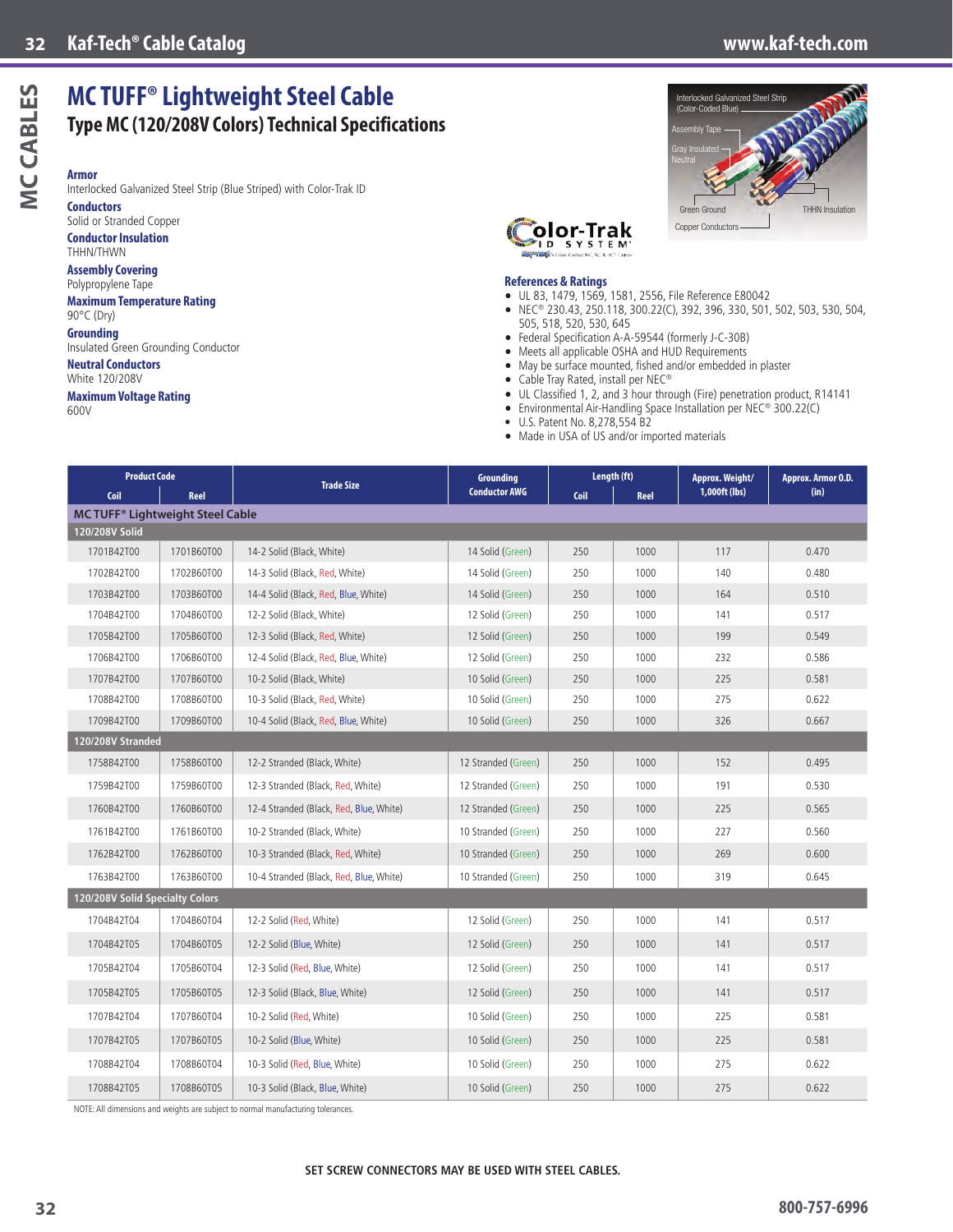**THHN Insulation** 

# MCCABLES **MC CABLES**

**Armor** Interlocked Galvanized Steel Strip (Blue Striped) with Color-Trak ID **Conductors**

**MC TUFF® Lightweight Steel Cable**

**Type MC (120/208V Colors) Technical Specifications**

Solid or Stranded Copper **Conductor Insulation** THHN/THWN

#### **Assembly Covering**

Polypropylene Tape **Maximum Temperature Rating** 90°C (Dry)

#### **Grounding**

Insulated Green Grounding Conductor **Neutral Conductors**

White 120/208V

#### **Maximum Voltage Rating**

600V

## Copper Conductor Green Assembly Tape Gray Insulated Neutral

(Color-Coded Blue)

cked Galvanized Steel Strip



#### **References & Ratings**

- UL 83, 1479, 1569, 1581, 2556, File Reference E80042
- NEC® 230.43, 250.118, 300.22(C), 392, 396, 330, 501, 502, 503, 530, 504, 505, 518, 520, 530, 645
- Federal Specification A-A-59544 (formerly J-C-30B)
- Meets all applicable OSHA and HUD Requirements
- May be surface mounted, fished and/or embedded in plaster
- Cable Tray Rated, install per NEC®
- UL Classified 1, 2, and 3 hour through (Fire) penetration product, R14141
- Environmental Air-Handling Space Installation per NEC® 300.22(C)
- U.S. Patent No. 8,278,554 B2
- Made in USA of US and/or imported materials

| <b>Product Code</b>                                |            | <b>Trade Size</b>                       | <b>Grounding</b>     | Length (ft) |      | Approx. Weight/ | Approx. Armor O.D. |  |
|----------------------------------------------------|------------|-----------------------------------------|----------------------|-------------|------|-----------------|--------------------|--|
| Coil                                               | Reel       |                                         | <b>Conductor AWG</b> | Coil        | Reel | 1,000ft (lbs)   | (in)               |  |
| <b>MC TUFF<sup>®</sup> Lightweight Steel Cable</b> |            |                                         |                      |             |      |                 |                    |  |
| 120/208V Solid                                     |            |                                         |                      |             |      |                 |                    |  |
| 1701B42T00                                         | 1701B60T00 | 14-2 Solid (Black, White)               | 14 Solid (Green)     | 250         | 1000 | 117             | 0.470              |  |
| 1702B42T00                                         | 1702B60T00 | 14-3 Solid (Black, Red, White)          | 14 Solid (Green)     | 250         | 1000 | 140             | 0.480              |  |
| 1703B42T00                                         | 1703B60T00 | 14-4 Solid (Black, Red, Blue, White)    | 14 Solid (Green)     | 250         | 1000 | 164             | 0.510              |  |
| 1704B42T00                                         | 1704B60T00 | 12-2 Solid (Black, White)               | 12 Solid (Green)     | 250         | 1000 | 141             | 0.517              |  |
| 1705B42T00                                         | 1705B60T00 | 12-3 Solid (Black, Red, White)          | 12 Solid (Green)     | 250         | 1000 | 199             | 0.549              |  |
| 1706B42T00                                         | 1706B60T00 | 12-4 Solid (Black, Red, Blue, White)    | 12 Solid (Green)     | 250         | 1000 | 232             | 0.586              |  |
| 1707B42T00                                         | 1707B60T00 | 10-2 Solid (Black, White)               | 10 Solid (Green)     | 250         | 1000 | 225             | 0.581              |  |
| 1708B42T00                                         | 1708B60T00 | 10-3 Solid (Black, Red, White)          | 10 Solid (Green)     | 250         | 1000 | 275             | 0.622              |  |
| 1709B42T00                                         | 1709B60T00 | 10-4 Solid (Black, Red, Blue, White)    | 10 Solid (Green)     | 250         | 1000 | 326             | 0.667              |  |
| 120/208V Stranded                                  |            |                                         |                      |             |      |                 |                    |  |
| 1758B42T00                                         | 1758B60T00 | 12-2 Stranded (Black, White)            | 12 Stranded (Green)  | 250         | 1000 | 152             | 0.495              |  |
| 1759B42T00                                         | 1759B60T00 | 12-3 Stranded (Black, Red, White)       | 12 Stranded (Green)  | 250         | 1000 | 191             | 0.530              |  |
| 1760B42T00                                         | 1760B60T00 | 12-4 Stranded (Black, Red, Blue, White) | 12 Stranded (Green)  | 250         | 1000 | 225             | 0.565              |  |
| 1761B42T00                                         | 1761B60T00 | 10-2 Stranded (Black, White)            | 10 Stranded (Green)  | 250         | 1000 | 227             | 0.560              |  |
| 1762B42T00                                         | 1762B60T00 | 10-3 Stranded (Black, Red, White)       | 10 Stranded (Green)  | 250         | 1000 | 269             | 0.600              |  |
| 1763B42T00                                         | 1763B60T00 | 10-4 Stranded (Black, Red, Blue, White) | 10 Stranded (Green)  | 250         | 1000 | 319             | 0.645              |  |
| 120/208V Solid Specialty Colors                    |            |                                         |                      |             |      |                 |                    |  |
| 1704B42T04                                         | 1704B60T04 | 12-2 Solid (Red, White)                 | 12 Solid (Green)     | 250         | 1000 | 141             | 0.517              |  |
| 1704B42T05                                         | 1704B60T05 | 12-2 Solid (Blue, White)                | 12 Solid (Green)     | 250         | 1000 | 141             | 0.517              |  |
| 1705B42T04                                         | 1705B60T04 | 12-3 Solid (Red, Blue, White)           | 12 Solid (Green)     | 250         | 1000 | 141             | 0.517              |  |
| 1705B42T05                                         | 1705B60T05 | 12-3 Solid (Black, Blue, White)         | 12 Solid (Green)     | 250         | 1000 | 141             | 0.517              |  |
| 1707B42T04                                         | 1707B60T04 | 10-2 Solid (Red, White)                 | 10 Solid (Green)     | 250         | 1000 | 225             | 0.581              |  |
| 1707B42T05                                         | 1707B60T05 | 10-2 Solid (Blue, White)                | 10 Solid (Green)     | 250         | 1000 | 225             | 0.581              |  |
| 1708B42T04                                         | 1708B60T04 | 10-3 Solid (Red, Blue, White)           | 10 Solid (Green)     | 250         | 1000 | 275             | 0.622              |  |
| 1708B42T05                                         | 1708B60T05 | 10-3 Solid (Black, Blue, White)         | 10 Solid (Green)     | 250         | 1000 | 275             | 0.622              |  |

NOTE: All dimensions and weights are subject to normal manufacturing tolerances.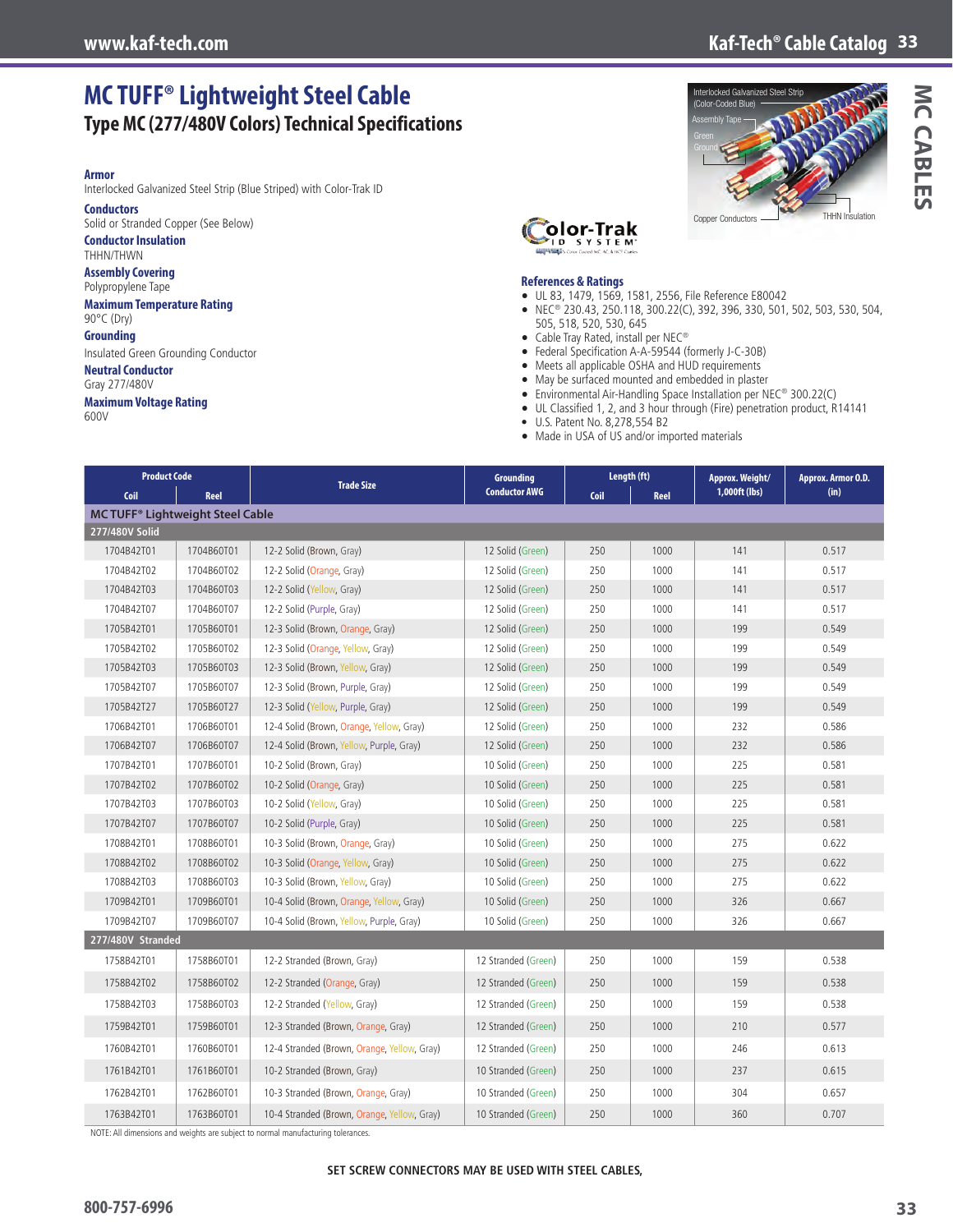### **www.kaf-tech.com Kaf-Tech® Cable Catalog 33**

# **MC TUFF® Lightweight Steel Cable Type MC (277/480V Colors) Technical Specifications**

#### **Armor**

Interlocked Galvanized Steel Strip (Blue Striped) with Color-Trak ID

#### **Conductors**

Solid or Stranded Copper (See Below)

#### **Conductor Insulation** THHN/THWN

**Assembly Covering**

#### Polypropylene Tape

**Maximum Temperature Rating**

#### 90°C (Dry) **Grounding**

Insulated Green Grounding Conductor

#### **Neutral Conductor**

Gray 277/480V

#### **Maximum Voltage Rating**

600V



**Interlocked Galvanized Steel Stripped** 





#### **References & Ratings**

- UL 83, 1479, 1569, 1581, 2556, File Reference E80042
- NEC® 230.43, 250.118, 300.22(C), 392, 396, 330, 501, 502, 503, 530, 504, 505, 518, 520, 530, 645
- Cable Tray Rated, install per NEC®
- Federal Specification A-A-59544 (formerly J-C-30B)
- Meets all applicable OSHA and HUD requirements
- May be surfaced mounted and embedded in plaster
- Environmental Air-Handling Space Installation per NEC® 300.22(C)
- UL Classified 1, 2, and 3 hour through (Fire) penetration product, R14141
- U.S. Patent No. 8,278,554 B2
- Made in USA of US and/or imported materials

| <b>Product Code</b>                                |            |                                             | <b>Grounding</b>     | Length (ft)  |      | Approx. Weight/ | Approx. Armor O.D. |  |
|----------------------------------------------------|------------|---------------------------------------------|----------------------|--------------|------|-----------------|--------------------|--|
| Coil                                               | Reel       | <b>Trade Size</b>                           | <b>Conductor AWG</b> | Coil<br>Reel |      | 1,000ft (lbs)   | (in)               |  |
| <b>MC TUFF<sup>®</sup> Lightweight Steel Cable</b> |            |                                             |                      |              |      |                 |                    |  |
| 277/480V Solid                                     |            |                                             |                      |              |      |                 |                    |  |
| 1704B42T01                                         | 1704B60T01 | 12-2 Solid (Brown, Gray)                    | 12 Solid (Green)     | 250          | 1000 | 141             | 0.517              |  |
| 1704B42T02                                         | 1704B60T02 | 12-2 Solid (Orange, Gray)                   | 12 Solid (Green)     | 250          | 1000 | 141             | 0.517              |  |
| 1704B42T03                                         | 1704B60T03 | 12-2 Solid (Yellow, Gray)                   | 12 Solid (Green)     | 250          | 1000 | 141             | 0.517              |  |
| 1704B42T07                                         | 1704B60T07 | 12-2 Solid (Purple, Gray)                   | 12 Solid (Green)     | 250          | 1000 | 141             | 0.517              |  |
| 1705B42T01                                         | 1705B60T01 | 12-3 Solid (Brown, Orange, Gray)            | 12 Solid (Green)     | 250          | 1000 | 199             | 0.549              |  |
| 1705B42T02                                         | 1705B60T02 | 12-3 Solid (Orange, Yellow, Gray)           | 12 Solid (Green)     | 250          | 1000 | 199             | 0.549              |  |
| 1705B42T03                                         | 1705B60T03 | 12-3 Solid (Brown, Yellow, Gray)            | 12 Solid (Green)     | 250          | 1000 | 199             | 0.549              |  |
| 1705B42T07                                         | 1705B60T07 | 12-3 Solid (Brown, Purple, Gray)            | 12 Solid (Green)     | 250          | 1000 | 199             | 0.549              |  |
| 1705B42T27                                         | 1705B60T27 | 12-3 Solid (Yellow, Purple, Gray)           | 12 Solid (Green)     | 250          | 1000 | 199             | 0.549              |  |
| 1706B42T01                                         | 1706B60T01 | 12-4 Solid (Brown, Orange, Yellow, Gray)    | 12 Solid (Green)     | 250          | 1000 | 232             | 0.586              |  |
| 1706B42T07                                         | 1706B60T07 | 12-4 Solid (Brown, Yellow, Purple, Gray)    | 12 Solid (Green)     | 250          | 1000 | 232             | 0.586              |  |
| 1707B42T01                                         | 1707B60T01 | 10-2 Solid (Brown, Gray)                    | 10 Solid (Green)     | 250          | 1000 | 225             | 0.581              |  |
| 1707B42T02                                         | 1707B60T02 | 10-2 Solid (Orange, Gray)                   | 10 Solid (Green)     | 250          | 1000 | 225             | 0.581              |  |
| 1707B42T03                                         | 1707B60T03 | 10-2 Solid (Yellow, Gray)                   | 10 Solid (Green)     | 250          | 1000 | 225             | 0.581              |  |
| 1707B42T07                                         | 1707B60T07 | 10-2 Solid (Purple, Gray)                   | 10 Solid (Green)     | 250          | 1000 | 225             | 0.581              |  |
| 1708B42T01                                         | 1708B60T01 | 10-3 Solid (Brown, Orange, Gray)            | 10 Solid (Green)     | 250          | 1000 | 275             | 0.622              |  |
| 1708B42T02                                         | 1708B60T02 | 10-3 Solid (Orange, Yellow, Gray)           | 10 Solid (Green)     | 250          | 1000 | 275             | 0.622              |  |
| 1708B42T03                                         | 1708B60T03 | 10-3 Solid (Brown, Yellow, Gray)            | 10 Solid (Green)     | 250          | 1000 | 275             | 0.622              |  |
| 1709B42T01                                         | 1709B60T01 | 10-4 Solid (Brown, Orange, Yellow, Gray)    | 10 Solid (Green)     | 250          | 1000 | 326             | 0.667              |  |
| 1709B42T07                                         | 1709B60T07 | 10-4 Solid (Brown, Yellow, Purple, Gray)    | 10 Solid (Green)     | 250          | 1000 | 326             | 0.667              |  |
| 277/480V Stranded                                  |            |                                             |                      |              |      |                 |                    |  |
| 1758B42T01                                         | 1758B60T01 | 12-2 Stranded (Brown, Gray)                 | 12 Stranded (Green)  | 250          | 1000 | 159             | 0.538              |  |
| 1758B42T02                                         | 1758B60T02 | 12-2 Stranded (Orange, Gray)                | 12 Stranded (Green)  | 250          | 1000 | 159             | 0.538              |  |
| 1758B42T03                                         | 1758B60T03 | 12-2 Stranded (Yellow, Gray)                | 12 Stranded (Green)  | 250          | 1000 | 159             | 0.538              |  |
| 1759B42T01                                         | 1759B60T01 | 12-3 Stranded (Brown, Orange, Gray)         | 12 Stranded (Green)  | 250          | 1000 | 210             | 0.577              |  |
| 1760B42T01                                         | 1760B60T01 | 12-4 Stranded (Brown, Orange, Yellow, Gray) | 12 Stranded (Green)  | 250          | 1000 | 246             | 0.613              |  |
| 1761B42T01                                         | 1761B60T01 | 10-2 Stranded (Brown, Gray)                 | 10 Stranded (Green)  | 250          | 1000 | 237             | 0.615              |  |
| 1762B42T01                                         | 1762B60T01 | 10-3 Stranded (Brown, Orange, Gray)         | 10 Stranded (Green)  | 250          | 1000 | 304             | 0.657              |  |
| 1763B42T01                                         | 1763B60T01 | 10-4 Stranded (Brown, Orange, Yellow, Gray) | 10 Stranded (Green)  | 250          | 1000 | 360             | 0.707              |  |

NOTE: All dimensions and weights are subject to normal manufacturing tolerances.